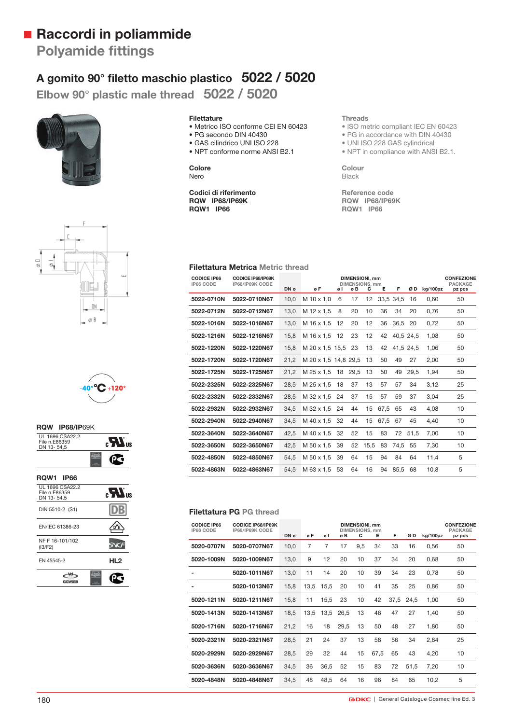## **Raccordi in poliammide**

**Polyamide fittings** 

### **A gomito 90° fi letto maschio plastico 5022 / 5020**

**Elbow 90° plastic male thread 5022 / 5020**





- Metrico ISO conforme CEI EN 60423
- PG secondo DIN 40430
- GAS cilindrico UNI ISO 228
- NPT conforme norme ANSI B2.1

#### **Colore** Nero

**Codici di riferimento RQW IP68/IP69K RQW1 IP66**

#### **Threads**

- ISO metric compliant IEC EN 60423
- PG in accordance with DIN 40430
- UNI ISO 228 GAS cylindrical
- NPT in compliance with ANSI B2.1.

**Colour** Black

**Reference code RQW IP68/IP69K RQW1 IP66**





### **RQW IP68/IP**69K UL 1696 CSA22.2 File n.E86359 DN 13- 54,5  $\mathbf{R}^{\text{us}}$ œ.

| <b>RQW1 IP66</b>                               |                                         |
|------------------------------------------------|-----------------------------------------|
| UL 1696 CSA22.2<br>File n.E86359<br>DN 13-54.5 | $_{\rm eff}$ $\boldsymbol{H}_{\rm eff}$ |
| DIN 5510-2 (S1)                                |                                         |
| EN/IEC 61386-23                                |                                         |
| NF F 16-101/102<br>(13/F2)                     |                                         |
| EN 45545-2                                     | HL2                                     |
|                                                |                                         |
|                                                |                                         |

#### **Filettatura Metrica Metric thread**

| <b>CODICE IP66</b><br>IP66 CODE | <b>CODICE IP68/IP69K</b><br>IP68/IP69K CODE |      | <b>DIMENSIONI, mm</b><br><b>DIMENSIONS, mm</b> |    |      |      |      |           |           |          | <b>CONFEZIONE</b><br><b>PACKAGE</b> |
|---------------------------------|---------------------------------------------|------|------------------------------------------------|----|------|------|------|-----------|-----------|----------|-------------------------------------|
|                                 |                                             | DN ø | øF                                             | øI | øB   | с    | Е    | F         | ØD        | kg/100pz | pz pcs                              |
| 5022-0710N                      | 5022-0710N67                                | 10.0 | M 10 x 1.0                                     | 6  | 17   | 12   |      | 33.5 34.5 | 16        | 0.60     | 50                                  |
| 5022-0712N                      | 5022-0712N67                                | 13,0 | M 12 x 1.5                                     | 8  | 20   | 10   | 36   | 34        | 20        | 0.76     | 50                                  |
| 5022-1016N                      | 5022-1016N67                                | 13,0 | M 16 x 1.5                                     | 12 | 20   | 12   | 36   | 36,5      | 20        | 0,72     | 50                                  |
| 5022-1216N                      | 5022-1216N67                                | 15,8 | M 16 x 1.5                                     | 12 | 23   | 12   | 42   |           | 40,5 24,5 | 1,08     | 50                                  |
| 5022-1220N                      | 5022-1220N67                                | 15,8 | M 20 x 1.5 15.5                                |    | 23   | 13   | 42   |           | 41,5 24,5 | 1,06     | 50                                  |
| 5022-1720N                      | 5022-1720N67                                | 21.2 | M 20 x 1.5 14.8 29.5                           |    |      | 13   | 50   | 49        | 27        | 2.00     | 50                                  |
| 5022-1725N                      | 5022-1725N67                                | 21.2 | M 25 x 1.5                                     | 18 | 29.5 | 13   | 50   | 49        | 29.5      | 1.94     | 50                                  |
| 5022-2325N                      | 5022-2325N67                                | 28,5 | M 25 x 1.5                                     | 18 | 37   | 13   | 57   | 57        | 34        | 3,12     | 25                                  |
| 5022-2332N                      | 5022-2332N67                                | 28,5 | M 32 x 1.5                                     | 24 | 37   | 15   | 57   | 59        | 37        | 3.04     | 25                                  |
| 5022-2932N                      | 5022-2932N67                                | 34,5 | M 32 x 1.5                                     | 24 | 44   | 15   | 67.5 | 65        | 43        | 4,08     | 10                                  |
| 5022-2940N                      | 5022-2940N67                                | 34.5 | M 40 x 1.5                                     | 32 | 44   | 15   | 67.5 | 67        | 45        | 4.40     | 10                                  |
| 5022-3640N                      | 5022-3640N67                                | 42.5 | M 40 x 1.5                                     | 32 | 52   | 15   | 83   | 72        | 51.5      | 7.00     | 10                                  |
| 5022-3650N                      | 5022-3650N67                                | 42,5 | M 50 x 1.5                                     | 39 | 52   | 15,5 | 83   | 74,5      | 55        | 7,30     | 10                                  |
| 5022-4850N                      | 5022-4850N67                                | 54,5 | M 50 x 1.5                                     | 39 | 64   | 15   | 94   | 84        | 64        | 11,4     | 5                                   |
| 5022-4863N                      | 5022-4863N67                                | 54.5 | M 63 x 1.5                                     | 53 | 64   | 16   | 94   | 85.5      | 68        | 10,8     | 5                                   |

#### **Filettatura PG PG thread**

| <b>CODICE IP66</b><br>IP66 CODE | <b>CODICE IP68/IP69K</b><br>IP68/IP69K CODE | <b>DIMENSIONI, mm</b><br><b>DIMENSIONS, mm</b><br>F<br>ØD<br>DN ø<br>øF<br>c<br>Е<br>øΙ<br>øΒ |      |      |      |     |      |      |      | kg/100pz | <b>CONFEZIONE</b><br><b>PACKAGE</b><br>pz pcs |  |
|---------------------------------|---------------------------------------------|-----------------------------------------------------------------------------------------------|------|------|------|-----|------|------|------|----------|-----------------------------------------------|--|
|                                 |                                             |                                                                                               |      |      |      |     |      |      |      |          |                                               |  |
| 5020-0707N                      | 5020-0707N67                                | 10,0                                                                                          | 7    | 7    | 17   | 9,5 | 34   | 33   | 16   | 0,56     | 50                                            |  |
| 5020-1009N                      | 5020-1009N67                                | 13,0                                                                                          | 9    | 12   | 20   | 10  | 37   | 34   | 20   | 0,68     | 50                                            |  |
|                                 | 5020-1011N67                                | 13,0                                                                                          | 11   | 14   | 20   | 10  | 39   | 34   | 23   | 0,78     | 50                                            |  |
|                                 | 5020-1013N67                                | 15,8                                                                                          | 13.5 | 15.5 | 20   | 10  | 41   | 35   | 25   | 0.86     | 50                                            |  |
| 5020-1211N                      | 5020-1211N67                                | 15,8                                                                                          | 11   | 15,5 | 23   | 10  | 42   | 37,5 | 24.5 | 1,00     | 50                                            |  |
| 5020-1413N                      | 5020-1413N67                                | 18,5                                                                                          | 13,5 | 13,5 | 26.5 | 13  | 46   | 47   | 27   | 1,40     | 50                                            |  |
| 5020-1716N                      | 5020-1716N67                                | 21,2                                                                                          | 16   | 18   | 29.5 | 13  | 50   | 48   | 27   | 1.80     | 50                                            |  |
| 5020-2321N                      | 5020-2321N67                                | 28,5                                                                                          | 21   | 24   | 37   | 13  | 58   | 56   | 34   | 2,84     | 25                                            |  |
| 5020-2929N                      | 5020-2929N67                                | 28,5                                                                                          | 29   | 32   | 44   | 15  | 67,5 | 65   | 43   | 4,20     | 10                                            |  |
| 5020-3636N                      | 5020-3636N67                                | 34,5                                                                                          | 36   | 36,5 | 52   | 15  | 83   | 72   | 51.5 | 7,20     | 10                                            |  |
| 5020-4848N                      | 5020-4848N67                                | 34,5                                                                                          | 48   | 48,5 | 64   | 16  | 96   | 84   | 65   | 10,2     | 5                                             |  |